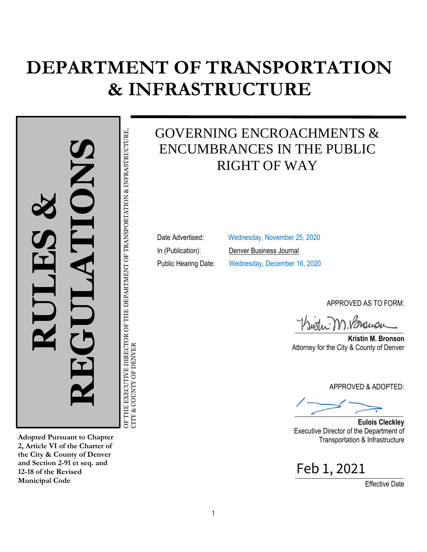## **DEPARTMENT OF TRANSPORTATION & INFRASTRUCTURE**

OF THE EXECUTIVE DIRECTOR OF THE DEPARTMENT OF TRANSPORTATION & INFRASTRUCTURE,<br>CITY & COUNTY OF DENVER **RULES & REGULATIONS**

OF THE EXECUTIVE DIRECTOR OF TH

CITY & COUNTY OF DENVER

DEPARTMENT OF TRANSPORTATION & INFRASTRUCTURE,

**Adopted Pursuant to Chapter 2, Article VI of the Charter of the City & County of Denver and Section 2-91 et seq. and 12-18 of the Revised Municipal Code**

GOVERNING ENCROACHMENTS & ENCUMBRANCES IN THE PUBLIC RIGHT OF WAY

Date Advertised: Wednesday, November 25, 2020 In (Publication): Denver Business Journal Public Hearing Date: Wednesday, December 16, 2020

APPROVED AS TO FORM:

 $\frac{1}{2}$ 

**Kristin M. Bronson** Attorney for the City & County of Denver

APPROVED & ADOPTED:

 $\overline{\phantom{a}}$ 

**Eulois Cleckley**  Executive Director of the Department of Transportation & Infrastructure

\_\_\_\_\_\_\_\_\_\_\_\_\_\_\_\_\_\_\_\_\_\_\_\_\_\_\_\_\_\_\_ Feb 1, 2021

Effective Date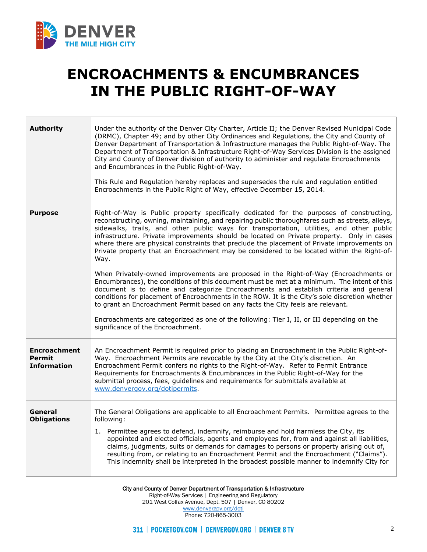

## **ENCROACHMENTS & ENCUMBRANCES IN THE PUBLIC RIGHT-OF-WAY**

| <b>Authority</b>                                           | Under the authority of the Denver City Charter, Article II; the Denver Revised Municipal Code<br>(DRMC), Chapter 49; and by other City Ordinances and Regulations, the City and County of<br>Denver Department of Transportation & Infrastructure manages the Public Right-of-Way. The<br>Department of Transportation & Infrastructure Right-of-Way Services Division is the assigned<br>City and County of Denver division of authority to administer and regulate Encroachments<br>and Encumbrances in the Public Right-of-Way.<br>This Rule and Regulation hereby replaces and supersedes the rule and regulation entitled<br>Encroachments in the Public Right of Way, effective December 15, 2014.                                                                                                                                                                                                                                                                                                                                                                                                                                                                                           |
|------------------------------------------------------------|----------------------------------------------------------------------------------------------------------------------------------------------------------------------------------------------------------------------------------------------------------------------------------------------------------------------------------------------------------------------------------------------------------------------------------------------------------------------------------------------------------------------------------------------------------------------------------------------------------------------------------------------------------------------------------------------------------------------------------------------------------------------------------------------------------------------------------------------------------------------------------------------------------------------------------------------------------------------------------------------------------------------------------------------------------------------------------------------------------------------------------------------------------------------------------------------------|
| <b>Purpose</b>                                             | Right-of-Way is Public property specifically dedicated for the purposes of constructing,<br>reconstructing, owning, maintaining, and repairing public thoroughfares such as streets, alleys,<br>sidewalks, trails, and other public ways for transportation, utilities, and other public<br>infrastructure. Private improvements should be located on Private property. Only in cases<br>where there are physical constraints that preclude the placement of Private improvements on<br>Private property that an Encroachment may be considered to be located within the Right-of-<br>Way.<br>When Privately-owned improvements are proposed in the Right-of-Way (Encroachments or<br>Encumbrances), the conditions of this document must be met at a minimum. The intent of this<br>document is to define and categorize Encroachments and establish criteria and general<br>conditions for placement of Encroachments in the ROW. It is the City's sole discretion whether<br>to grant an Encroachment Permit based on any facts the City feels are relevant.<br>Encroachments are categorized as one of the following: Tier I, II, or III depending on the<br>significance of the Encroachment. |
| <b>Encroachment</b><br><b>Permit</b><br><b>Information</b> | An Encroachment Permit is required prior to placing an Encroachment in the Public Right-of-<br>Way. Encroachment Permits are revocable by the City at the City's discretion. An<br>Encroachment Permit confers no rights to the Right-of-Way. Refer to Permit Entrance<br>Requirements for Encroachments & Encumbrances in the Public Right-of-Way for the<br>submittal process, fees, guidelines and requirements for submittals available at<br>www.denvergov.org/dotipermits.                                                                                                                                                                                                                                                                                                                                                                                                                                                                                                                                                                                                                                                                                                                   |
| General<br><b>Obligations</b>                              | The General Obligations are applicable to all Encroachment Permits. Permittee agrees to the<br>following:<br>1. Permittee agrees to defend, indemnify, reimburse and hold harmless the City, its<br>appointed and elected officials, agents and employees for, from and against all liabilities,<br>claims, judgments, suits or demands for damages to persons or property arising out of,<br>resulting from, or relating to an Encroachment Permit and the Encroachment ("Claims").<br>This indemnity shall be interpreted in the broadest possible manner to indemnify City for                                                                                                                                                                                                                                                                                                                                                                                                                                                                                                                                                                                                                  |

City and County of Denver Department of Transportation & Infrastructure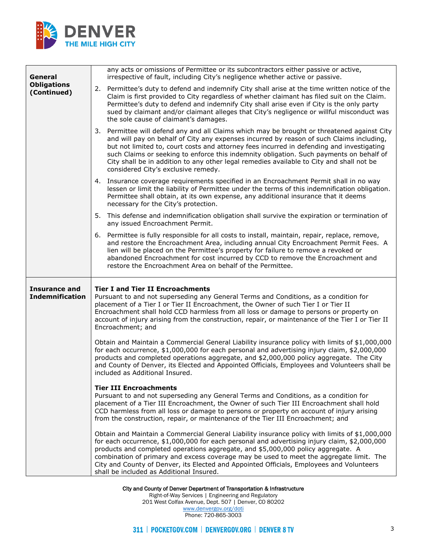

| General                                        | any acts or omissions of Permittee or its subcontractors either passive or active,<br>irrespective of fault, including City's negligence whether active or passive.                                                                                                                                                                                                                                                                                                                                                   |
|------------------------------------------------|-----------------------------------------------------------------------------------------------------------------------------------------------------------------------------------------------------------------------------------------------------------------------------------------------------------------------------------------------------------------------------------------------------------------------------------------------------------------------------------------------------------------------|
| <b>Obligations</b><br>(Continued)              | 2. Permittee's duty to defend and indemnify City shall arise at the time written notice of the<br>Claim is first provided to City regardless of whether claimant has filed suit on the Claim.<br>Permittee's duty to defend and indemnify City shall arise even if City is the only party<br>sued by claimant and/or claimant alleges that City's negligence or willful misconduct was<br>the sole cause of claimant's damages.                                                                                       |
|                                                | 3. Permittee will defend any and all Claims which may be brought or threatened against City<br>and will pay on behalf of City any expenses incurred by reason of such Claims including,<br>but not limited to, court costs and attorney fees incurred in defending and investigating<br>such Claims or seeking to enforce this indemnity obligation. Such payments on behalf of<br>City shall be in addition to any other legal remedies available to City and shall not be<br>considered City's exclusive remedy.    |
|                                                | 4. Insurance coverage requirements specified in an Encroachment Permit shall in no way<br>lessen or limit the liability of Permittee under the terms of this indemnification obligation.<br>Permittee shall obtain, at its own expense, any additional insurance that it deems<br>necessary for the City's protection.                                                                                                                                                                                                |
|                                                | 5. This defense and indemnification obligation shall survive the expiration or termination of<br>any issued Encroachment Permit.                                                                                                                                                                                                                                                                                                                                                                                      |
|                                                | 6. Permittee is fully responsible for all costs to install, maintain, repair, replace, remove,<br>and restore the Encroachment Area, including annual City Encroachment Permit Fees. A<br>lien will be placed on the Permittee's property for failure to remove a revoked or<br>abandoned Encroachment for cost incurred by CCD to remove the Encroachment and<br>restore the Encroachment Area on behalf of the Permittee.                                                                                           |
| <b>Insurance and</b><br><b>Indemnification</b> | <b>Tier I and Tier II Encroachments</b><br>Pursuant to and not superseding any General Terms and Conditions, as a condition for<br>placement of a Tier I or Tier II Encroachment, the Owner of such Tier I or Tier II<br>Encroachment shall hold CCD harmless from all loss or damage to persons or property on<br>account of injury arising from the construction, repair, or maintenance of the Tier I or Tier II<br>Encroachment; and                                                                              |
|                                                | Obtain and Maintain a Commercial General Liability insurance policy with limits of \$1,000,000<br>for each occurrence, \$1,000,000 for each personal and advertising injury claim, \$2,000,000<br>products and completed operations aggregate, and \$2,000,000 policy aggregate. The City<br>and County of Denver, its Elected and Appointed Officials, Employees and Volunteers shall be<br>included as Additional Insured.                                                                                          |
|                                                | <b>Tier III Encroachments</b><br>Pursuant to and not superseding any General Terms and Conditions, as a condition for<br>placement of a Tier III Encroachment, the Owner of such Tier III Encroachment shall hold<br>CCD harmless from all loss or damage to persons or property on account of injury arising<br>from the construction, repair, or maintenance of the Tier III Encroachment; and                                                                                                                      |
|                                                | Obtain and Maintain a Commercial General Liability insurance policy with limits of \$1,000,000<br>for each occurrence, \$1,000,000 for each personal and advertising injury claim, \$2,000,000<br>products and completed operations aggregate, and \$5,000,000 policy aggregate. A<br>combination of primary and excess coverage may be used to meet the aggregate limit. The<br>City and County of Denver, its Elected and Appointed Officials, Employees and Volunteers<br>shall be included as Additional Insured. |

City and County of Denver Department of Transportation & Infrastructure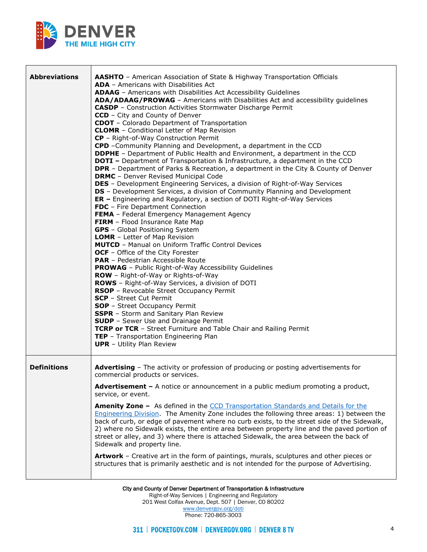

| <b>Abbreviations</b> | <b>AASHTO</b> - American Association of State & Highway Transportation Officials<br><b>ADA</b> - Americans with Disabilities Act<br>ADAAG - Americans with Disabilities Act Accessibility Guidelines<br>ADA/ADAAG/PROWAG - Americans with Disabilities Act and accessibility guidelines<br><b>CASDP</b> - Construction Activities Stormwater Discharge Permit<br><b>CCD</b> - City and County of Denver<br><b>CDOT</b> - Colorado Department of Transportation<br><b>CLOMR</b> - Conditional Letter of Map Revision<br>CP - Right-of-Way Construction Permit<br>CPD -Community Planning and Development, a department in the CCD<br><b>DDPHE</b> - Department of Public Health and Environment, a department in the CCD<br><b>DOTI</b> - Department of Transportation & Infrastructure, a department in the CCD<br><b>DPR</b> - Department of Parks & Recreation, a department in the City & County of Denver<br><b>DRMC</b> - Denver Revised Municipal Code<br><b>DES</b> - Development Engineering Services, a division of Right-of-Way Services<br><b>DS</b> - Development Services, a division of Community Planning and Development<br>ER - Engineering and Regulatory, a section of DOTI Right-of-Way Services<br>FDC - Fire Department Connection<br>FEMA - Federal Emergency Management Agency<br>FIRM - Flood Insurance Rate Map<br><b>GPS</b> - Global Positioning System<br><b>LOMR</b> - Letter of Map Revision<br><b>MUTCD</b> - Manual on Uniform Traffic Control Devices<br>OCF - Office of the City Forester<br><b>PAR</b> - Pedestrian Accessible Route<br><b>PROWAG</b> - Public Right-of-Way Accessibility Guidelines<br><b>ROW</b> - Right-of-Way or Rights-of-Way<br>ROWS - Right-of-Way Services, a division of DOTI<br>RSOP - Revocable Street Occupancy Permit<br><b>SCP</b> - Street Cut Permit<br><b>SOP</b> - Street Occupancy Permit<br>SSPR - Storm and Sanitary Plan Review<br><b>SUDP</b> - Sewer Use and Drainage Permit<br>TCRP or TCR - Street Furniture and Table Chair and Railing Permit<br>TEP - Transportation Engineering Plan<br><b>UPR</b> - Utility Plan Review |
|----------------------|------------------------------------------------------------------------------------------------------------------------------------------------------------------------------------------------------------------------------------------------------------------------------------------------------------------------------------------------------------------------------------------------------------------------------------------------------------------------------------------------------------------------------------------------------------------------------------------------------------------------------------------------------------------------------------------------------------------------------------------------------------------------------------------------------------------------------------------------------------------------------------------------------------------------------------------------------------------------------------------------------------------------------------------------------------------------------------------------------------------------------------------------------------------------------------------------------------------------------------------------------------------------------------------------------------------------------------------------------------------------------------------------------------------------------------------------------------------------------------------------------------------------------------------------------------------------------------------------------------------------------------------------------------------------------------------------------------------------------------------------------------------------------------------------------------------------------------------------------------------------------------------------------------------------------------------------------------------------------------------------------------------------------------------------------------------------------------------------------------|
| <b>Definitions</b>   | <b>Advertising</b> - The activity or profession of producing or posting advertisements for<br>commercial products or services.<br><b>Advertisement -</b> A notice or announcement in a public medium promoting a product,<br>service, or event.<br>Amenity Zone - As defined in the CCD Transportation Standards and Details for the<br><b>Engineering Division.</b> The Amenity Zone includes the following three areas: 1) between the                                                                                                                                                                                                                                                                                                                                                                                                                                                                                                                                                                                                                                                                                                                                                                                                                                                                                                                                                                                                                                                                                                                                                                                                                                                                                                                                                                                                                                                                                                                                                                                                                                                                   |
|                      | back of curb, or edge of pavement where no curb exists, to the street side of the Sidewalk,<br>2) where no Sidewalk exists, the entire area between property line and the paved portion of<br>street or alley, and 3) where there is attached Sidewalk, the area between the back of<br>Sidewalk and property line.<br>Artwork - Creative art in the form of paintings, murals, sculptures and other pieces or<br>structures that is primarily aesthetic and is not intended for the purpose of Advertising.                                                                                                                                                                                                                                                                                                                                                                                                                                                                                                                                                                                                                                                                                                                                                                                                                                                                                                                                                                                                                                                                                                                                                                                                                                                                                                                                                                                                                                                                                                                                                                                               |

City and County of Denver Department of Transportation & Infrastructure Right-of-Way Services | Engineering and Regulatory 201 West Colfax Avenue, Dept. 507 | Denver, CO 80202 [www.denvergov.org/doti](https://www.denvergov.org/content/denvergov/en/transportation-mobility.html) Phone: 720-865-3003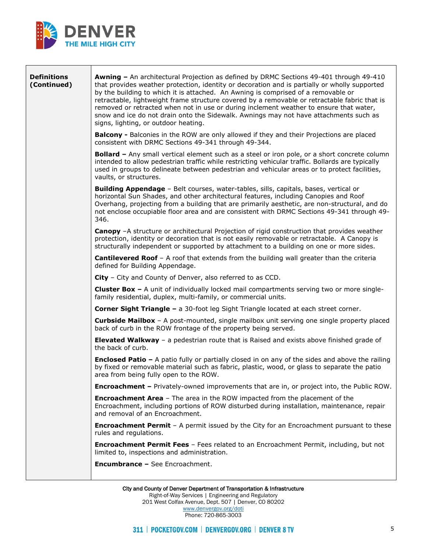

<u> The Communication of the Communication of the Communication of the Communication of the Communication of the Communication of the Communication of the Communication of the Communication of the Communication of the Commun</u>

| <b>Definitions</b><br>(Continued) | <b>Awning - An architectural Projection as defined by DRMC Sections 49-401 through 49-410</b><br>that provides weather protection, identity or decoration and is partially or wholly supported<br>by the building to which it is attached. An Awning is comprised of a removable or<br>retractable, lightweight frame structure covered by a removable or retractable fabric that is<br>removed or retracted when not in use or during inclement weather to ensure that water,<br>snow and ice do not drain onto the Sidewalk. Awnings may not have attachments such as<br>signs, lighting, or outdoor heating. |
|-----------------------------------|-----------------------------------------------------------------------------------------------------------------------------------------------------------------------------------------------------------------------------------------------------------------------------------------------------------------------------------------------------------------------------------------------------------------------------------------------------------------------------------------------------------------------------------------------------------------------------------------------------------------|
|                                   | <b>Balcony</b> - Balconies in the ROW are only allowed if they and their Projections are placed<br>consistent with DRMC Sections 49-341 through 49-344.                                                                                                                                                                                                                                                                                                                                                                                                                                                         |
|                                   | <b>Bollard -</b> Any small vertical element such as a steel or iron pole, or a short concrete column<br>intended to allow pedestrian traffic while restricting vehicular traffic. Bollards are typically<br>used in groups to delineate between pedestrian and vehicular areas or to protect facilities,<br>vaults, or structures.                                                                                                                                                                                                                                                                              |
|                                   | Building Appendage - Belt courses, water-tables, sills, capitals, bases, vertical or<br>horizontal Sun Shades, and other architectural features, including Canopies and Roof<br>Overhang, projecting from a building that are primarily aesthetic, are non-structural, and do<br>not enclose occupiable floor area and are consistent with DRMC Sections 49-341 through 49-<br>346.                                                                                                                                                                                                                             |
|                                   | <b>Canopy</b> -A structure or architectural Projection of rigid construction that provides weather<br>protection, identity or decoration that is not easily removable or retractable. A Canopy is<br>structurally independent or supported by attachment to a building on one or more sides.                                                                                                                                                                                                                                                                                                                    |
|                                   | <b>Cantilevered Roof</b> - A roof that extends from the building wall greater than the criteria<br>defined for Building Appendage.                                                                                                                                                                                                                                                                                                                                                                                                                                                                              |
|                                   | City - City and County of Denver, also referred to as CCD.                                                                                                                                                                                                                                                                                                                                                                                                                                                                                                                                                      |
|                                   | <b>Cluster Box -</b> A unit of individually locked mail compartments serving two or more single-<br>family residential, duplex, multi-family, or commercial units.                                                                                                                                                                                                                                                                                                                                                                                                                                              |
|                                   | <b>Corner Sight Triangle - a 30-foot leg Sight Triangle located at each street corner.</b>                                                                                                                                                                                                                                                                                                                                                                                                                                                                                                                      |
|                                   | <b>Curbside Mailbox</b> - A post-mounted, single mailbox unit serving one single property placed<br>back of curb in the ROW frontage of the property being served.                                                                                                                                                                                                                                                                                                                                                                                                                                              |
|                                   | <b>Elevated Walkway</b> – a pedestrian route that is Raised and exists above finished grade of<br>the back of curb.                                                                                                                                                                                                                                                                                                                                                                                                                                                                                             |
|                                   | <b>Enclosed Patio -</b> A patio fully or partially closed in on any of the sides and above the railing<br>by fixed or removable material such as fabric, plastic, wood, or glass to separate the patio<br>area from being fully open to the ROW.                                                                                                                                                                                                                                                                                                                                                                |
|                                   | Encroachment - Privately-owned improvements that are in, or project into, the Public ROW.                                                                                                                                                                                                                                                                                                                                                                                                                                                                                                                       |
|                                   | <b>Encroachment Area</b> - The area in the ROW impacted from the placement of the<br>Encroachment, including portions of ROW disturbed during installation, maintenance, repair<br>and removal of an Encroachment.                                                                                                                                                                                                                                                                                                                                                                                              |
|                                   | <b>Encroachment Permit</b> - A permit issued by the City for an Encroachment pursuant to these<br>rules and regulations.                                                                                                                                                                                                                                                                                                                                                                                                                                                                                        |
|                                   | <b>Encroachment Permit Fees</b> - Fees related to an Encroachment Permit, including, but not<br>limited to, inspections and administration.                                                                                                                                                                                                                                                                                                                                                                                                                                                                     |
|                                   | <b>Encumbrance - See Encroachment.</b>                                                                                                                                                                                                                                                                                                                                                                                                                                                                                                                                                                          |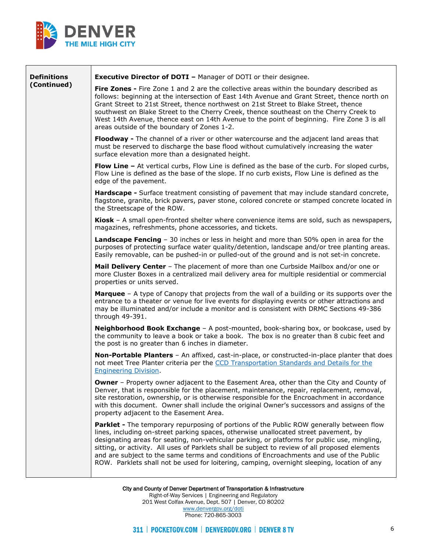

Г

| <b>Definitions</b> | <b>Executive Director of DOTI - Manager of DOTI or their designee.</b>                                                                                                                                                                                                                                                                                                                                                                                                                                                                                                              |
|--------------------|-------------------------------------------------------------------------------------------------------------------------------------------------------------------------------------------------------------------------------------------------------------------------------------------------------------------------------------------------------------------------------------------------------------------------------------------------------------------------------------------------------------------------------------------------------------------------------------|
| (Continued)        | Fire Zones - Fire Zone 1 and 2 are the collective areas within the boundary described as<br>follows: beginning at the intersection of East 14th Avenue and Grant Street, thence north on<br>Grant Street to 21st Street, thence northwest on 21st Street to Blake Street, thence<br>southwest on Blake Street to the Cherry Creek, thence southeast on the Cherry Creek to<br>West 14th Avenue, thence east on 14th Avenue to the point of beginning. Fire Zone 3 is all<br>areas outside of the boundary of Zones 1-2.                                                             |
|                    | Floodway - The channel of a river or other watercourse and the adjacent land areas that<br>must be reserved to discharge the base flood without cumulatively increasing the water<br>surface elevation more than a designated height.                                                                                                                                                                                                                                                                                                                                               |
|                    | <b>Flow Line -</b> At vertical curbs, Flow Line is defined as the base of the curb. For sloped curbs,<br>Flow Line is defined as the base of the slope. If no curb exists, Flow Line is defined as the<br>edge of the pavement.                                                                                                                                                                                                                                                                                                                                                     |
|                    | Hardscape - Surface treatment consisting of pavement that may include standard concrete,<br>flagstone, granite, brick pavers, paver stone, colored concrete or stamped concrete located in<br>the Streetscape of the ROW.                                                                                                                                                                                                                                                                                                                                                           |
|                    | Kiosk - A small open-fronted shelter where convenience items are sold, such as newspapers,<br>magazines, refreshments, phone accessories, and tickets.                                                                                                                                                                                                                                                                                                                                                                                                                              |
|                    | <b>Landscape Fencing</b> - 30 inches or less in height and more than 50% open in area for the<br>purposes of protecting surface water quality/detention, landscape and/or tree planting areas.<br>Easily removable, can be pushed-in or pulled-out of the ground and is not set-in concrete.                                                                                                                                                                                                                                                                                        |
|                    | Mail Delivery Center - The placement of more than one Curbside Mailbox and/or one or<br>more Cluster Boxes in a centralized mail delivery area for multiple residential or commercial<br>properties or units served.                                                                                                                                                                                                                                                                                                                                                                |
|                    | Marquee - A type of Canopy that projects from the wall of a building or its supports over the<br>entrance to a theater or venue for live events for displaying events or other attractions and<br>may be illuminated and/or include a monitor and is consistent with DRMC Sections 49-386<br>through 49-391.                                                                                                                                                                                                                                                                        |
|                    | Neighborhood Book Exchange - A post-mounted, book-sharing box, or bookcase, used by<br>the community to leave a book or take a book. The box is no greater than 8 cubic feet and<br>the post is no greater than 6 inches in diameter.                                                                                                                                                                                                                                                                                                                                               |
|                    | Non-Portable Planters - An affixed, cast-in-place, or constructed-in-place planter that does<br>not meet Tree Planter criteria per the CCD Transportation Standards and Details for the<br><b>Engineering Division.</b>                                                                                                                                                                                                                                                                                                                                                             |
|                    | <b>Owner</b> - Property owner adjacent to the Easement Area, other than the City and County of<br>Denver, that is responsible for the placement, maintenance, repair, replacement, removal,<br>site restoration, ownership, or is otherwise responsible for the Encroachment in accordance<br>with this document. Owner shall include the original Owner's successors and assigns of the<br>property adjacent to the Easement Area.                                                                                                                                                 |
|                    | <b>Parklet -</b> The temporary repurposing of portions of the Public ROW generally between flow<br>lines, including on-street parking spaces, otherwise unallocated street pavement, by<br>designating areas for seating, non-vehicular parking, or platforms for public use, mingling,<br>sitting, or activity. All uses of Parklets shall be subject to review of all proposed elements<br>and are subject to the same terms and conditions of Encroachments and use of the Public<br>ROW. Parklets shall not be used for loitering, camping, overnight sleeping, location of any |
|                    | City and County of Denver Department of Transportation & Infrastructure                                                                                                                                                                                                                                                                                                                                                                                                                                                                                                             |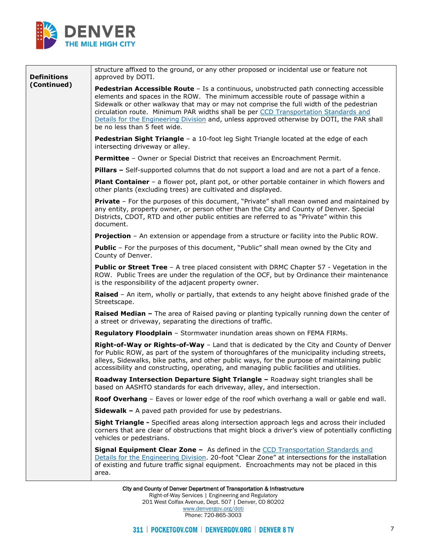

| <b>Definitions</b> | structure affixed to the ground, or any other proposed or incidental use or feature not<br>approved by DOTI.                                                                                                                                                                                                                                                                                                                                                                               |
|--------------------|--------------------------------------------------------------------------------------------------------------------------------------------------------------------------------------------------------------------------------------------------------------------------------------------------------------------------------------------------------------------------------------------------------------------------------------------------------------------------------------------|
| (Continued)        | Pedestrian Accessible Route - Is a continuous, unobstructed path connecting accessible<br>elements and spaces in the ROW. The minimum accessible route of passage within a<br>Sidewalk or other walkway that may or may not comprise the full width of the pedestrian<br>circulation route. Minimum PAR widths shall be per CCD Transportation Standards and<br>Details for the Engineering Division and, unless approved otherwise by DOTI, the PAR shall<br>be no less than 5 feet wide. |
|                    | Pedestrian Sight Triangle - a 10-foot leg Sight Triangle located at the edge of each<br>intersecting driveway or alley.                                                                                                                                                                                                                                                                                                                                                                    |
|                    | Permittee - Owner or Special District that receives an Encroachment Permit.                                                                                                                                                                                                                                                                                                                                                                                                                |
|                    | Pillars - Self-supported columns that do not support a load and are not a part of a fence.                                                                                                                                                                                                                                                                                                                                                                                                 |
|                    | Plant Container - a flower pot, plant pot, or other portable container in which flowers and<br>other plants (excluding trees) are cultivated and displayed.                                                                                                                                                                                                                                                                                                                                |
|                    | <b>Private</b> - For the purposes of this document, "Private" shall mean owned and maintained by<br>any entity, property owner, or person other than the City and County of Denver. Special<br>Districts, CDOT, RTD and other public entities are referred to as "Private" within this<br>document.                                                                                                                                                                                        |
|                    | <b>Projection</b> - An extension or appendage from a structure or facility into the Public ROW.                                                                                                                                                                                                                                                                                                                                                                                            |
|                    | Public - For the purposes of this document, "Public" shall mean owned by the City and<br>County of Denver.                                                                                                                                                                                                                                                                                                                                                                                 |
|                    | <b>Public or Street Tree</b> - A tree placed consistent with DRMC Chapter 57 - Vegetation in the<br>ROW. Public Trees are under the regulation of the OCF, but by Ordinance their maintenance<br>is the responsibility of the adjacent property owner.                                                                                                                                                                                                                                     |
|                    | Raised - An item, wholly or partially, that extends to any height above finished grade of the<br>Streetscape.                                                                                                                                                                                                                                                                                                                                                                              |
|                    | Raised Median - The area of Raised paving or planting typically running down the center of<br>a street or driveway, separating the directions of traffic.                                                                                                                                                                                                                                                                                                                                  |
|                    | Regulatory Floodplain - Stormwater inundation areas shown on FEMA FIRMs.                                                                                                                                                                                                                                                                                                                                                                                                                   |
|                    | Right-of-Way or Rights-of-Way - Land that is dedicated by the City and County of Denver<br>for Public ROW, as part of the system of thoroughfares of the municipality including streets,<br>alleys, Sidewalks, bike paths, and other public ways, for the purpose of maintaining public<br>accessibility and constructing, operating, and managing public facilities and utilities.                                                                                                        |
|                    | Roadway Intersection Departure Sight Triangle - Roadway sight triangles shall be<br>based on AASHTO standards for each driveway, alley, and intersection.                                                                                                                                                                                                                                                                                                                                  |
|                    | Roof Overhang - Eaves or lower edge of the roof which overhang a wall or gable end wall.                                                                                                                                                                                                                                                                                                                                                                                                   |
|                    | <b>Sidewalk -</b> A paved path provided for use by pedestrians.                                                                                                                                                                                                                                                                                                                                                                                                                            |
|                    | Sight Triangle - Specified areas along intersection approach legs and across their included<br>corners that are clear of obstructions that might block a driver's view of potentially conflicting<br>vehicles or pedestrians.                                                                                                                                                                                                                                                              |
|                    | <b>Signal Equipment Clear Zone -</b> As defined in the CCD Transportation Standards and<br>Details for the Engineering Division. 20-foot "Clear Zone" at intersections for the installation<br>of existing and future traffic signal equipment. Encroachments may not be placed in this<br>area.                                                                                                                                                                                           |
|                    | City and County of Denver Department of Transportation & Infrastructure                                                                                                                                                                                                                                                                                                                                                                                                                    |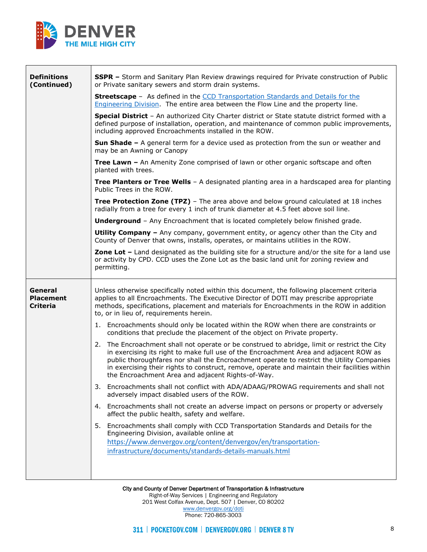

<u> 1989 - Johann Barbara, martxa a shekara 1980 - An tsa a tsara 1980 - An tsa a tsa a tsa a tsa a tsa a tsa a tsa a tsa a tsa a tsa a tsa a tsa a tsa a tsa a tsa a tsa a tsa a tsa a tsa a tsa a tsa a tsa a tsa a tsa a tsa </u>

Г

| <b>Definitions</b><br>(Continued)              | <b>SSPR -</b> Storm and Sanitary Plan Review drawings required for Private construction of Public<br>or Private sanitary sewers and storm drain systems.                                                                                                                                                                                                                                                                                    |
|------------------------------------------------|---------------------------------------------------------------------------------------------------------------------------------------------------------------------------------------------------------------------------------------------------------------------------------------------------------------------------------------------------------------------------------------------------------------------------------------------|
|                                                | <b>Streetscape</b> - As defined in the CCD Transportation Standards and Details for the<br>Engineering Division. The entire area between the Flow Line and the property line.                                                                                                                                                                                                                                                               |
|                                                | Special District - An authorized City Charter district or State statute district formed with a<br>defined purpose of installation, operation, and maintenance of common public improvements,<br>including approved Encroachments installed in the ROW.                                                                                                                                                                                      |
|                                                | <b>Sun Shade -</b> A general term for a device used as protection from the sun or weather and<br>may be an Awning or Canopy                                                                                                                                                                                                                                                                                                                 |
|                                                | Tree Lawn - An Amenity Zone comprised of lawn or other organic softscape and often<br>planted with trees.                                                                                                                                                                                                                                                                                                                                   |
|                                                | <b>Tree Planters or Tree Wells</b> - A designated planting area in a hardscaped area for planting<br>Public Trees in the ROW.                                                                                                                                                                                                                                                                                                               |
|                                                | <b>Tree Protection Zone (TPZ)</b> - The area above and below ground calculated at 18 inches<br>radially from a tree for every 1 inch of trunk diameter at 4.5 feet above soil line.                                                                                                                                                                                                                                                         |
|                                                | <b>Underground</b> - Any Encroachment that is located completely below finished grade.                                                                                                                                                                                                                                                                                                                                                      |
|                                                | <b>Utility Company</b> - Any company, government entity, or agency other than the City and<br>County of Denver that owns, installs, operates, or maintains utilities in the ROW.                                                                                                                                                                                                                                                            |
|                                                | Zone Lot - Land designated as the building site for a structure and/or the site for a land use<br>or activity by CPD. CCD uses the Zone Lot as the basic land unit for zoning review and<br>permitting.                                                                                                                                                                                                                                     |
| General<br><b>Placement</b><br><b>Criteria</b> | Unless otherwise specifically noted within this document, the following placement criteria<br>applies to all Encroachments. The Executive Director of DOTI may prescribe appropriate<br>methods, specifications, placement and materials for Encroachments in the ROW in addition<br>to, or in lieu of, requirements herein.                                                                                                                |
|                                                | 1. Encroachments should only be located within the ROW when there are constraints or<br>conditions that preclude the placement of the object on Private property.                                                                                                                                                                                                                                                                           |
|                                                | The Encroachment shall not operate or be construed to abridge, limit or restrict the City<br>2.<br>in exercising its right to make full use of the Encroachment Area and adjacent ROW as<br>public thoroughfares nor shall the Encroachment operate to restrict the Utility Companies<br>in exercising their rights to construct, remove, operate and maintain their facilities within<br>the Encroachment Area and adjacent Rights-of-Way. |
|                                                | 3. Encroachments shall not conflict with ADA/ADAAG/PROWAG requirements and shall not<br>adversely impact disabled users of the ROW.                                                                                                                                                                                                                                                                                                         |
|                                                | Encroachments shall not create an adverse impact on persons or property or adversely<br>4.<br>affect the public health, safety and welfare.                                                                                                                                                                                                                                                                                                 |
|                                                | 5. Encroachments shall comply with CCD Transportation Standards and Details for the<br>Engineering Division, available online at<br>https://www.denvergov.org/content/denvergov/en/transportation-<br>infrastructure/documents/standards-details-manuals.html                                                                                                                                                                               |

City and County of Denver Department of Transportation & Infrastructure Right-of-Way Services | Engineering and Regulatory 201 West Colfax Avenue, Dept. 507 | Denver, CO 80202 [www.denvergov.org/doti](https://www.denvergov.org/content/denvergov/en/transportation-mobility.html) Phone: 720-865-3003

٦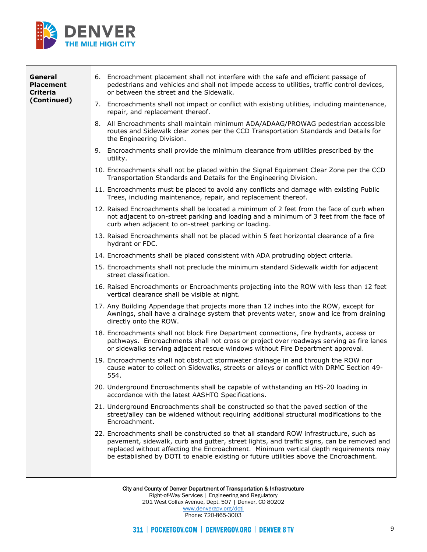

| General<br><b>Placement</b><br><b>Criteria</b> | 6. Encroachment placement shall not interfere with the safe and efficient passage of<br>pedestrians and vehicles and shall not impede access to utilities, traffic control devices,<br>or between the street and the Sidewalk.                                                                                                                                        |
|------------------------------------------------|-----------------------------------------------------------------------------------------------------------------------------------------------------------------------------------------------------------------------------------------------------------------------------------------------------------------------------------------------------------------------|
| (Continued)                                    | 7. Encroachments shall not impact or conflict with existing utilities, including maintenance,<br>repair, and replacement thereof.                                                                                                                                                                                                                                     |
|                                                | 8. All Encroachments shall maintain minimum ADA/ADAAG/PROWAG pedestrian accessible<br>routes and Sidewalk clear zones per the CCD Transportation Standards and Details for<br>the Engineering Division.                                                                                                                                                               |
|                                                | 9. Encroachments shall provide the minimum clearance from utilities prescribed by the<br>utility.                                                                                                                                                                                                                                                                     |
|                                                | 10. Encroachments shall not be placed within the Signal Equipment Clear Zone per the CCD<br>Transportation Standards and Details for the Engineering Division.                                                                                                                                                                                                        |
|                                                | 11. Encroachments must be placed to avoid any conflicts and damage with existing Public<br>Trees, including maintenance, repair, and replacement thereof.                                                                                                                                                                                                             |
|                                                | 12. Raised Encroachments shall be located a minimum of 2 feet from the face of curb when<br>not adjacent to on-street parking and loading and a minimum of 3 feet from the face of<br>curb when adjacent to on-street parking or loading.                                                                                                                             |
|                                                | 13. Raised Encroachments shall not be placed within 5 feet horizontal clearance of a fire<br>hydrant or FDC.                                                                                                                                                                                                                                                          |
|                                                | 14. Encroachments shall be placed consistent with ADA protruding object criteria.                                                                                                                                                                                                                                                                                     |
|                                                | 15. Encroachments shall not preclude the minimum standard Sidewalk width for adjacent<br>street classification.                                                                                                                                                                                                                                                       |
|                                                | 16. Raised Encroachments or Encroachments projecting into the ROW with less than 12 feet<br>vertical clearance shall be visible at night.                                                                                                                                                                                                                             |
|                                                | 17. Any Building Appendage that projects more than 12 inches into the ROW, except for<br>Awnings, shall have a drainage system that prevents water, snow and ice from draining<br>directly onto the ROW.                                                                                                                                                              |
|                                                | 18. Encroachments shall not block Fire Department connections, fire hydrants, access or<br>pathways. Encroachments shall not cross or project over roadways serving as fire lanes<br>or sidewalks serving adjacent rescue windows without Fire Department approval.                                                                                                   |
|                                                | 19. Encroachments shall not obstruct stormwater drainage in and through the ROW nor<br>cause water to collect on Sidewalks, streets or alleys or conflict with DRMC Section 49-<br>554.                                                                                                                                                                               |
|                                                | 20. Underground Encroachments shall be capable of withstanding an HS-20 loading in<br>accordance with the latest AASHTO Specifications.                                                                                                                                                                                                                               |
|                                                | 21. Underground Encroachments shall be constructed so that the paved section of the<br>street/alley can be widened without requiring additional structural modifications to the<br>Encroachment.                                                                                                                                                                      |
|                                                | 22. Encroachments shall be constructed so that all standard ROW infrastructure, such as<br>pavement, sidewalk, curb and gutter, street lights, and traffic signs, can be removed and<br>replaced without affecting the Encroachment. Minimum vertical depth requirements may<br>be established by DOTI to enable existing or future utilities above the Encroachment. |
|                                                |                                                                                                                                                                                                                                                                                                                                                                       |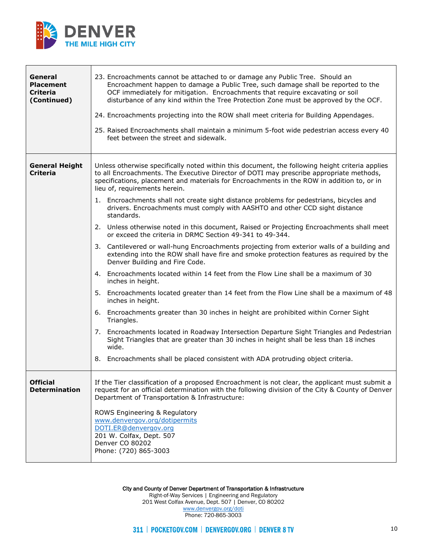

┯

Г

| General<br><b>Placement</b><br><b>Criteria</b><br>(Continued) | 23. Encroachments cannot be attached to or damage any Public Tree. Should an<br>Encroachment happen to damage a Public Tree, such damage shall be reported to the<br>OCF immediately for mitigation. Encroachments that require excavating or soil<br>disturbance of any kind within the Tree Protection Zone must be approved by the OCF.<br>24. Encroachments projecting into the ROW shall meet criteria for Building Appendages.<br>25. Raised Encroachments shall maintain a minimum 5-foot wide pedestrian access every 40<br>feet between the street and sidewalk.                                                                                                                                                                                                                                                                                                                                                                                                                                                                                                                                                                                                                                                                                                                                                                                                                                                                                                                                                            |
|---------------------------------------------------------------|--------------------------------------------------------------------------------------------------------------------------------------------------------------------------------------------------------------------------------------------------------------------------------------------------------------------------------------------------------------------------------------------------------------------------------------------------------------------------------------------------------------------------------------------------------------------------------------------------------------------------------------------------------------------------------------------------------------------------------------------------------------------------------------------------------------------------------------------------------------------------------------------------------------------------------------------------------------------------------------------------------------------------------------------------------------------------------------------------------------------------------------------------------------------------------------------------------------------------------------------------------------------------------------------------------------------------------------------------------------------------------------------------------------------------------------------------------------------------------------------------------------------------------------|
| <b>General Height</b><br><b>Criteria</b>                      | Unless otherwise specifically noted within this document, the following height criteria applies<br>to all Encroachments. The Executive Director of DOTI may prescribe appropriate methods,<br>specifications, placement and materials for Encroachments in the ROW in addition to, or in<br>lieu of, requirements herein.<br>1. Encroachments shall not create sight distance problems for pedestrians, bicycles and<br>drivers. Encroachments must comply with AASHTO and other CCD sight distance<br>standards.<br>2. Unless otherwise noted in this document, Raised or Projecting Encroachments shall meet<br>or exceed the criteria in DRMC Section 49-341 to 49-344.<br>3. Cantilevered or wall-hung Encroachments projecting from exterior walls of a building and<br>extending into the ROW shall have fire and smoke protection features as required by the<br>Denver Building and Fire Code.<br>4. Encroachments located within 14 feet from the Flow Line shall be a maximum of 30<br>inches in height.<br>5. Encroachments located greater than 14 feet from the Flow Line shall be a maximum of 48<br>inches in height.<br>Encroachments greater than 30 inches in height are prohibited within Corner Sight<br>6.<br>Triangles.<br>7. Encroachments located in Roadway Intersection Departure Sight Triangles and Pedestrian<br>Sight Triangles that are greater than 30 inches in height shall be less than 18 inches<br>wide.<br>Encroachments shall be placed consistent with ADA protruding object criteria.<br>8. |
| <b>Official</b><br><b>Determination</b>                       | If the Tier classification of a proposed Encroachment is not clear, the applicant must submit a<br>request for an official determination with the following division of the City & County of Denver<br>Department of Transportation & Infrastructure:<br>ROWS Engineering & Regulatory<br>www.denvergov.org/dotipermits<br>DOTI.ER@denvergov.org<br>201 W. Colfax, Dept. 507<br>Denver CO 80202<br>Phone: (720) 865-3003                                                                                                                                                                                                                                                                                                                                                                                                                                                                                                                                                                                                                                                                                                                                                                                                                                                                                                                                                                                                                                                                                                             |

City and County of Denver Department of Transportation & Infrastructure

Right-of-Way Services | Engineering and Regulatory 201 West Colfax Avenue, Dept. 507 | Denver, CO 80202 [www.denvergov.org/doti](https://www.denvergov.org/content/denvergov/en/transportation-mobility.html) Phone: 720-865-3003

┑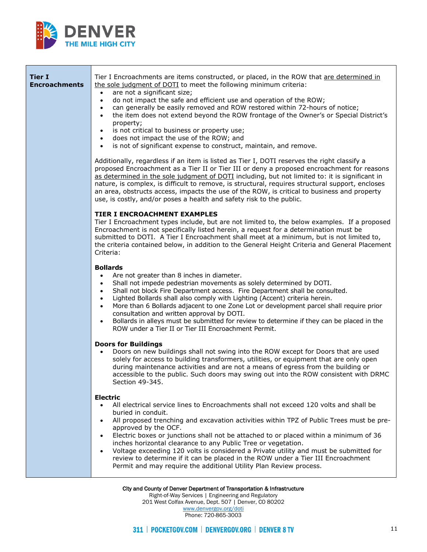

| <b>Tier I</b><br><b>Encroachments</b> | Tier I Encroachments are items constructed, or placed, in the ROW that are determined in<br>the sole judgment of DOTI to meet the following minimum criteria:<br>are not a significant size;<br>$\bullet$<br>do not impact the safe and efficient use and operation of the ROW;<br>$\bullet$<br>can generally be easily removed and ROW restored within 72-hours of notice;<br>$\bullet$<br>the item does not extend beyond the ROW frontage of the Owner's or Special District's<br>property;<br>is not critical to business or property use;<br>$\bullet$<br>does not impact the use of the ROW; and<br>$\bullet$<br>is not of significant expense to construct, maintain, and remove.<br>$\bullet$ |
|---------------------------------------|-------------------------------------------------------------------------------------------------------------------------------------------------------------------------------------------------------------------------------------------------------------------------------------------------------------------------------------------------------------------------------------------------------------------------------------------------------------------------------------------------------------------------------------------------------------------------------------------------------------------------------------------------------------------------------------------------------|
|                                       | Additionally, regardless if an item is listed as Tier I, DOTI reserves the right classify a<br>proposed Encroachment as a Tier II or Tier III or deny a proposed encroachment for reasons<br>as determined in the sole judgment of DOTI including, but not limited to: it is significant in<br>nature, is complex, is difficult to remove, is structural, requires structural support, encloses<br>an area, obstructs access, impacts the use of the ROW, is critical to business and property<br>use, is costly, and/or poses a health and safety risk to the public.                                                                                                                                |
|                                       | <b>TIER I ENCROACHMENT EXAMPLES</b><br>Tier I Encroachment types include, but are not limited to, the below examples. If a proposed<br>Encroachment is not specifically listed herein, a request for a determination must be<br>submitted to DOTI. A Tier I Encroachment shall meet at a minimum, but is not limited to,<br>the criteria contained below, in addition to the General Height Criteria and General Placement<br>Criteria:                                                                                                                                                                                                                                                               |
|                                       | <b>Bollards</b><br>Are not greater than 8 inches in diameter.<br>Shall not impede pedestrian movements as solely determined by DOTI.<br>Shall not block Fire Department access. Fire Department shall be consulted.<br>Lighted Bollards shall also comply with Lighting (Accent) criteria herein.<br>$\bullet$<br>More than 6 Bollards adjacent to one Zone Lot or development parcel shall require prior<br>$\bullet$<br>consultation and written approval by DOTI.<br>Bollards in alleys must be submitted for review to determine if they can be placed in the<br>ROW under a Tier II or Tier III Encroachment Permit.                                                                             |
|                                       | <b>Doors for Buildings</b><br>Doors on new buildings shall not swing into the ROW except for Doors that are used<br>solely for access to building transformers, utilities, or equipment that are only open<br>during maintenance activities and are not a means of egress from the building or<br>accessible to the public. Such doors may swing out into the ROW consistent with DRMC<br>Section 49-345.                                                                                                                                                                                                                                                                                             |
|                                       | <b>Electric</b><br>All electrical service lines to Encroachments shall not exceed 120 volts and shall be<br>$\bullet$<br>buried in conduit.<br>All proposed trenching and excavation activities within TPZ of Public Trees must be pre-<br>approved by the OCF.<br>Electric boxes or junctions shall not be attached to or placed within a minimum of 36<br>inches horizontal clearance to any Public Tree or vegetation.<br>Voltage exceeding 120 volts is considered a Private utility and must be submitted for<br>$\bullet$<br>review to determine if it can be placed in the ROW under a Tier III Encroachment<br>Permit and may require the additional Utility Plan Review process.             |

City and County of Denver Department of Transportation & Infrastructure Right-of-Way Services | Engineering and Regulatory 201 West Colfax Avenue, Dept. 507 | Denver, CO 80202 [www.denvergov.org/doti](https://www.denvergov.org/content/denvergov/en/transportation-mobility.html) Phone: 720-865-3003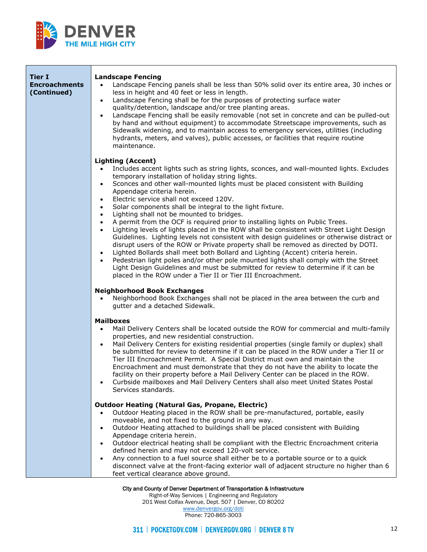

| <b>Tier I</b><br><b>Encroachments</b><br>(Continued) | <b>Landscape Fencing</b><br>Landscape Fencing panels shall be less than 50% solid over its entire area, 30 inches or<br>$\bullet$<br>less in height and 40 feet or less in length.<br>Landscape Fencing shall be for the purposes of protecting surface water<br>$\bullet$<br>quality/detention, landscape and/or tree planting areas.<br>Landscape Fencing shall be easily removable (not set in concrete and can be pulled-out<br>by hand and without equipment) to accommodate Streetscape improvements, such as<br>Sidewalk widening, and to maintain access to emergency services, utilities (including<br>hydrants, meters, and valves), public accesses, or facilities that require routine<br>maintenance.                                                                                                                                                                                                                                                                                                                                                                                                                                                                                                                      |
|------------------------------------------------------|-----------------------------------------------------------------------------------------------------------------------------------------------------------------------------------------------------------------------------------------------------------------------------------------------------------------------------------------------------------------------------------------------------------------------------------------------------------------------------------------------------------------------------------------------------------------------------------------------------------------------------------------------------------------------------------------------------------------------------------------------------------------------------------------------------------------------------------------------------------------------------------------------------------------------------------------------------------------------------------------------------------------------------------------------------------------------------------------------------------------------------------------------------------------------------------------------------------------------------------------|
|                                                      | <b>Lighting (Accent)</b><br>Includes accent lights such as string lights, sconces, and wall-mounted lights. Excludes<br>temporary installation of holiday string lights.<br>Sconces and other wall-mounted lights must be placed consistent with Building<br>$\bullet$<br>Appendage criteria herein.<br>Electric service shall not exceed 120V.<br>$\bullet$<br>Solar components shall be integral to the light fixture.<br>$\bullet$<br>Lighting shall not be mounted to bridges.<br>$\bullet$<br>A permit from the OCF is required prior to installing lights on Public Trees.<br>$\bullet$<br>Lighting levels of lights placed in the ROW shall be consistent with Street Light Design<br>$\bullet$<br>Guidelines. Lighting levels not consistent with design guidelines or otherwise distract or<br>disrupt users of the ROW or Private property shall be removed as directed by DOTI.<br>Lighted Bollards shall meet both Bollard and Lighting (Accent) criteria herein.<br>Pedestrian light poles and/or other pole mounted lights shall comply with the Street<br>$\bullet$<br>Light Design Guidelines and must be submitted for review to determine if it can be<br>placed in the ROW under a Tier II or Tier III Encroachment. |
|                                                      | <b>Neighborhood Book Exchanges</b><br>Neighborhood Book Exchanges shall not be placed in the area between the curb and<br>$\bullet$<br>gutter and a detached Sidewalk.                                                                                                                                                                                                                                                                                                                                                                                                                                                                                                                                                                                                                                                                                                                                                                                                                                                                                                                                                                                                                                                                  |
|                                                      | <b>Mailboxes</b><br>Mail Delivery Centers shall be located outside the ROW for commercial and multi-family<br>properties, and new residential construction.<br>Mail Delivery Centers for existing residential properties (single family or duplex) shall<br>$\bullet$<br>be submitted for review to determine if it can be placed in the ROW under a Tier II or<br>Tier III Encroachment Permit. A Special District must own and maintain the<br>Encroachment and must demonstrate that they do not have the ability to locate the<br>facility on their property before a Mail Delivery Center can be placed in the ROW.<br>Curbside mailboxes and Mail Delivery Centers shall also meet United States Postal<br>Services standards.                                                                                                                                                                                                                                                                                                                                                                                                                                                                                                    |
|                                                      | <b>Outdoor Heating (Natural Gas, Propane, Electric)</b><br>Outdoor Heating placed in the ROW shall be pre-manufactured, portable, easily<br>moveable, and not fixed to the ground in any way.<br>Outdoor Heating attached to buildings shall be placed consistent with Building<br>$\bullet$<br>Appendage criteria herein.<br>Outdoor electrical heating shall be compliant with the Electric Encroachment criteria<br>$\bullet$<br>defined herein and may not exceed 120-volt service.<br>Any connection to a fuel source shall either be to a portable source or to a quick<br>disconnect valve at the front-facing exterior wall of adjacent structure no higher than 6<br>feet vertical clearance above ground.                                                                                                                                                                                                                                                                                                                                                                                                                                                                                                                     |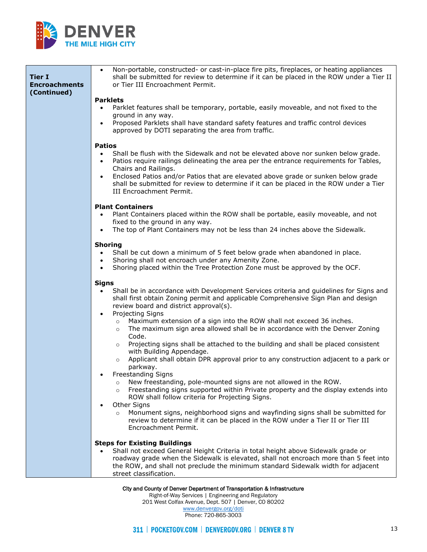

| <b>Tier I</b><br><b>Encroachments</b><br>(Continued) | Non-portable, constructed- or cast-in-place fire pits, fireplaces, or heating appliances<br>$\bullet$<br>shall be submitted for review to determine if it can be placed in the ROW under a Tier II<br>or Tier III Encroachment Permit.<br><b>Parklets</b><br>Parklet features shall be temporary, portable, easily moveable, and not fixed to the<br>$\bullet$<br>ground in any way.<br>Proposed Parklets shall have standard safety features and traffic control devices<br>approved by DOTI separating the area from traffic.                                                                                                                                                                                                                                                                                                                                                                                                                                                                                                                                                                                                                                                                    |
|------------------------------------------------------|----------------------------------------------------------------------------------------------------------------------------------------------------------------------------------------------------------------------------------------------------------------------------------------------------------------------------------------------------------------------------------------------------------------------------------------------------------------------------------------------------------------------------------------------------------------------------------------------------------------------------------------------------------------------------------------------------------------------------------------------------------------------------------------------------------------------------------------------------------------------------------------------------------------------------------------------------------------------------------------------------------------------------------------------------------------------------------------------------------------------------------------------------------------------------------------------------|
|                                                      | <b>Patios</b><br>Shall be flush with the Sidewalk and not be elevated above nor sunken below grade.<br>$\bullet$<br>Patios require railings delineating the area per the entrance requirements for Tables,<br>$\bullet$<br>Chairs and Railings.<br>Enclosed Patios and/or Patios that are elevated above grade or sunken below grade<br>shall be submitted for review to determine if it can be placed in the ROW under a Tier<br>III Encroachment Permit.                                                                                                                                                                                                                                                                                                                                                                                                                                                                                                                                                                                                                                                                                                                                         |
|                                                      | <b>Plant Containers</b><br>Plant Containers placed within the ROW shall be portable, easily moveable, and not<br>fixed to the ground in any way.<br>The top of Plant Containers may not be less than 24 inches above the Sidewalk.                                                                                                                                                                                                                                                                                                                                                                                                                                                                                                                                                                                                                                                                                                                                                                                                                                                                                                                                                                 |
|                                                      | <b>Shoring</b><br>Shall be cut down a minimum of 5 feet below grade when abandoned in place.<br>$\bullet$<br>Shoring shall not encroach under any Amenity Zone.<br>Shoring placed within the Tree Protection Zone must be approved by the OCF.<br>$\bullet$                                                                                                                                                                                                                                                                                                                                                                                                                                                                                                                                                                                                                                                                                                                                                                                                                                                                                                                                        |
|                                                      | <b>Signs</b><br>Shall be in accordance with Development Services criteria and guidelines for Signs and<br>$\bullet$<br>shall first obtain Zoning permit and applicable Comprehensive Sign Plan and design<br>review board and district approval(s).<br>Projecting Signs<br>$\bullet$<br>Maximum extension of a sign into the ROW shall not exceed 36 inches.<br>$\circ$<br>The maximum sign area allowed shall be in accordance with the Denver Zoning<br>$\circ$<br>Code.<br>Projecting signs shall be attached to the building and shall be placed consistent<br>$\circ$<br>with Building Appendage.<br>Applicant shall obtain DPR approval prior to any construction adjacent to a park or<br>$\circ$<br>parkway.<br>Freestanding Signs<br>New freestanding, pole-mounted signs are not allowed in the ROW.<br>$\circ$<br>Freestanding signs supported within Private property and the display extends into<br>$\circ$<br>ROW shall follow criteria for Projecting Signs.<br>Other Signs<br>Monument signs, neighborhood signs and wayfinding signs shall be submitted for<br>$\circ$<br>review to determine if it can be placed in the ROW under a Tier II or Tier III<br>Encroachment Permit. |
|                                                      | <b>Steps for Existing Buildings</b><br>Shall not exceed General Height Criteria in total height above Sidewalk grade or<br>roadway grade when the Sidewalk is elevated, shall not encroach more than 5 feet into<br>the ROW, and shall not preclude the minimum standard Sidewalk width for adjacent<br>street classification.                                                                                                                                                                                                                                                                                                                                                                                                                                                                                                                                                                                                                                                                                                                                                                                                                                                                     |

City and County of Denver Department of Transportation & Infrastructure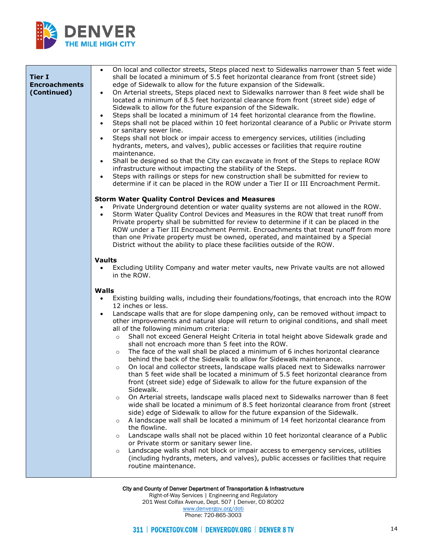

| <b>Tier I</b><br><b>Encroachments</b><br>(Continued) | On local and collector streets, Steps placed next to Sidewalks narrower than 5 feet wide<br>$\bullet$<br>shall be located a minimum of 5.5 feet horizontal clearance from front (street side)<br>edge of Sidewalk to allow for the future expansion of the Sidewalk.<br>On Arterial streets, Steps placed next to Sidewalks narrower than 8 feet wide shall be<br>located a minimum of 8.5 feet horizontal clearance from front (street side) edge of<br>Sidewalk to allow for the future expansion of the Sidewalk.<br>Steps shall be located a minimum of 14 feet horizontal clearance from the flowline.<br>Steps shall not be placed within 10 feet horizontal clearance of a Public or Private storm<br>or sanitary sewer line.<br>Steps shall not block or impair access to emergency services, utilities (including<br>$\bullet$<br>hydrants, meters, and valves), public accesses or facilities that require routine<br>maintenance.<br>Shall be designed so that the City can excavate in front of the Steps to replace ROW<br>infrastructure without impacting the stability of the Steps.<br>Steps with railings or steps for new construction shall be submitted for review to<br>determine if it can be placed in the ROW under a Tier II or III Encroachment Permit.                                                                                                                                                                                                                                                                                                                                                                                                                                                      |
|------------------------------------------------------|-----------------------------------------------------------------------------------------------------------------------------------------------------------------------------------------------------------------------------------------------------------------------------------------------------------------------------------------------------------------------------------------------------------------------------------------------------------------------------------------------------------------------------------------------------------------------------------------------------------------------------------------------------------------------------------------------------------------------------------------------------------------------------------------------------------------------------------------------------------------------------------------------------------------------------------------------------------------------------------------------------------------------------------------------------------------------------------------------------------------------------------------------------------------------------------------------------------------------------------------------------------------------------------------------------------------------------------------------------------------------------------------------------------------------------------------------------------------------------------------------------------------------------------------------------------------------------------------------------------------------------------------------------------------------------------------------------------------------------------------|
|                                                      | <b>Storm Water Quality Control Devices and Measures</b><br>Private Underground detention or water quality systems are not allowed in the ROW.<br>Storm Water Quality Control Devices and Measures in the ROW that treat runoff from<br>Private property shall be submitted for review to determine if it can be placed in the<br>ROW under a Tier III Encroachment Permit. Encroachments that treat runoff from more<br>than one Private property must be owned, operated, and maintained by a Special<br>District without the ability to place these facilities outside of the ROW.<br><b>Vaults</b><br>Excluding Utility Company and water meter vaults, new Private vaults are not allowed<br>$\bullet$<br>in the ROW.                                                                                                                                                                                                                                                                                                                                                                                                                                                                                                                                                                                                                                                                                                                                                                                                                                                                                                                                                                                                               |
|                                                      | <b>Walls</b><br>Existing building walls, including their foundations/footings, that encroach into the ROW<br>12 inches or less.<br>Landscape walls that are for slope dampening only, can be removed without impact to<br>$\bullet$<br>other improvements and natural slope will return to original conditions, and shall meet<br>all of the following minimum criteria:<br>Shall not exceed General Height Criteria in total height above Sidewalk grade and<br>$\circ$<br>shall not encroach more than 5 feet into the ROW.<br>The face of the wall shall be placed a minimum of 6 inches horizontal clearance<br>$\circ$<br>behind the back of the Sidewalk to allow for Sidewalk maintenance.<br>On local and collector streets, landscape walls placed next to Sidewalks narrower<br>$\circ$<br>than 5 feet wide shall be located a minimum of 5.5 feet horizontal clearance from<br>front (street side) edge of Sidewalk to allow for the future expansion of the<br>Sidewalk.<br>On Arterial streets, landscape walls placed next to Sidewalks narrower than 8 feet<br>$\circ$<br>wide shall be located a minimum of 8.5 feet horizontal clearance from front (street<br>side) edge of Sidewalk to allow for the future expansion of the Sidewalk.<br>A landscape wall shall be located a minimum of 14 feet horizontal clearance from<br>$\circ$<br>the flowline.<br>Landscape walls shall not be placed within 10 feet horizontal clearance of a Public<br>$\circ$<br>or Private storm or sanitary sewer line.<br>Landscape walls shall not block or impair access to emergency services, utilities<br>$\circ$<br>(including hydrants, meters, and valves), public accesses or facilities that require<br>routine maintenance. |

City and County of Denver Department of Transportation & Infrastructure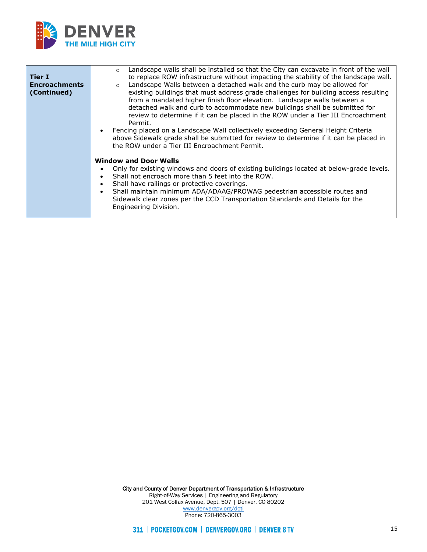

| <b>Tier I</b><br><b>Encroachments</b><br>(Continued) | Landscape walls shall be installed so that the City can excavate in front of the wall<br>$\circ$<br>to replace ROW infrastructure without impacting the stability of the landscape wall.<br>Landscape Walls between a detached walk and the curb may be allowed for<br>$\circ$<br>existing buildings that must address grade challenges for building access resulting<br>from a mandated higher finish floor elevation. Landscape walls between a<br>detached walk and curb to accommodate new buildings shall be submitted for<br>review to determine if it can be placed in the ROW under a Tier III Encroachment<br>Permit.<br>Fencing placed on a Landscape Wall collectively exceeding General Height Criteria<br>above Sidewalk grade shall be submitted for review to determine if it can be placed in<br>the ROW under a Tier III Encroachment Permit. |
|------------------------------------------------------|----------------------------------------------------------------------------------------------------------------------------------------------------------------------------------------------------------------------------------------------------------------------------------------------------------------------------------------------------------------------------------------------------------------------------------------------------------------------------------------------------------------------------------------------------------------------------------------------------------------------------------------------------------------------------------------------------------------------------------------------------------------------------------------------------------------------------------------------------------------|
|                                                      | <b>Window and Door Wells</b><br>Only for existing windows and doors of existing buildings located at below-grade levels.<br>Shall not encroach more than 5 feet into the ROW.<br>Shall have railings or protective coverings.<br>Shall maintain minimum ADA/ADAAG/PROWAG pedestrian accessible routes and<br>Sidewalk clear zones per the CCD Transportation Standards and Details for the<br>Engineering Division.                                                                                                                                                                                                                                                                                                                                                                                                                                            |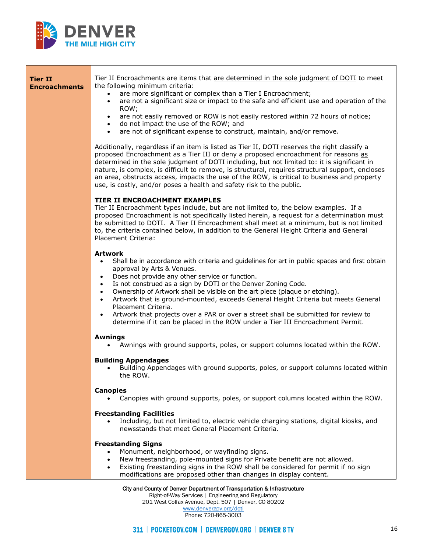

| <b>Tier II</b><br><b>Encroachments</b> | Tier II Encroachments are items that are determined in the sole judgment of DOTI to meet<br>the following minimum criteria:<br>are more significant or complex than a Tier I Encroachment;<br>$\bullet$<br>are not a significant size or impact to the safe and efficient use and operation of the<br>$\bullet$<br>ROW;<br>are not easily removed or ROW is not easily restored within 72 hours of notice;<br>do not impact the use of the ROW; and<br>$\bullet$<br>are not of significant expense to construct, maintain, and/or remove.<br>$\bullet$                                                                                                                                   |
|----------------------------------------|------------------------------------------------------------------------------------------------------------------------------------------------------------------------------------------------------------------------------------------------------------------------------------------------------------------------------------------------------------------------------------------------------------------------------------------------------------------------------------------------------------------------------------------------------------------------------------------------------------------------------------------------------------------------------------------|
|                                        | Additionally, regardless if an item is listed as Tier II, DOTI reserves the right classify a<br>proposed Encroachment as a Tier III or deny a proposed encroachment for reasons as<br>determined in the sole judgment of DOTI including, but not limited to: it is significant in<br>nature, is complex, is difficult to remove, is structural, requires structural support, encloses<br>an area, obstructs access, impacts the use of the ROW, is critical to business and property<br>use, is costly, and/or poses a health and safety risk to the public.                                                                                                                             |
|                                        | TIER II ENCROACHMENT EXAMPLES<br>Tier II Encroachment types include, but are not limited to, the below examples. If a<br>proposed Encroachment is not specifically listed herein, a request for a determination must<br>be submitted to DOTI. A Tier II Encroachment shall meet at a minimum, but is not limited<br>to, the criteria contained below, in addition to the General Height Criteria and General<br>Placement Criteria:                                                                                                                                                                                                                                                      |
|                                        | <b>Artwork</b><br>Shall be in accordance with criteria and guidelines for art in public spaces and first obtain<br>$\bullet$<br>approval by Arts & Venues.<br>Does not provide any other service or function.<br>$\bullet$<br>Is not construed as a sign by DOTI or the Denver Zoning Code.<br>Ownership of Artwork shall be visible on the art piece (plaque or etching).<br>Artwork that is ground-mounted, exceeds General Height Criteria but meets General<br>$\bullet$<br>Placement Criteria.<br>Artwork that projects over a PAR or over a street shall be submitted for review to<br>$\bullet$<br>determine if it can be placed in the ROW under a Tier III Encroachment Permit. |
|                                        | <b>Awnings</b><br>Awnings with ground supports, poles, or support columns located within the ROW.<br>$\bullet$<br><b>Building Appendages</b>                                                                                                                                                                                                                                                                                                                                                                                                                                                                                                                                             |
|                                        | Building Appendages with ground supports, poles, or support columns located within<br>the ROW.                                                                                                                                                                                                                                                                                                                                                                                                                                                                                                                                                                                           |
|                                        | <b>Canopies</b><br>Canopies with ground supports, poles, or support columns located within the ROW.                                                                                                                                                                                                                                                                                                                                                                                                                                                                                                                                                                                      |
|                                        | <b>Freestanding Facilities</b><br>Including, but not limited to, electric vehicle charging stations, digital kiosks, and<br>$\bullet$<br>newsstands that meet General Placement Criteria.                                                                                                                                                                                                                                                                                                                                                                                                                                                                                                |
|                                        | <b>Freestanding Signs</b><br>Monument, neighborhood, or wayfinding signs.<br>$\bullet$<br>New freestanding, pole-mounted signs for Private benefit are not allowed.<br>$\bullet$<br>Existing freestanding signs in the ROW shall be considered for permit if no sign<br>$\bullet$<br>modifications are proposed other than changes in display content.                                                                                                                                                                                                                                                                                                                                   |
|                                        | City and County of Denver Department of Transportation & Infrastructure                                                                                                                                                                                                                                                                                                                                                                                                                                                                                                                                                                                                                  |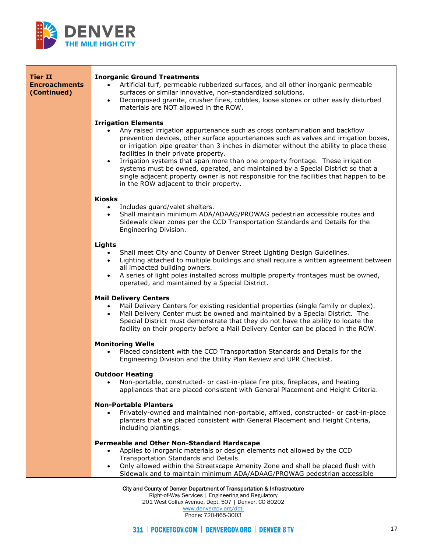

| Tier II<br><b>Encroachments</b><br>(Continued) | <b>Inorganic Ground Treatments</b><br>Artificial turf, permeable rubberized surfaces, and all other inorganic permeable<br>$\bullet$<br>surfaces or similar innovative, non-standardized solutions.<br>Decomposed granite, crusher fines, cobbles, loose stones or other easily disturbed<br>$\bullet$<br>materials are NOT allowed in the ROW.                                                                                                                                                                                                                                                                                                             |
|------------------------------------------------|-------------------------------------------------------------------------------------------------------------------------------------------------------------------------------------------------------------------------------------------------------------------------------------------------------------------------------------------------------------------------------------------------------------------------------------------------------------------------------------------------------------------------------------------------------------------------------------------------------------------------------------------------------------|
|                                                | <b>Irrigation Elements</b><br>Any raised irrigation appurtenance such as cross contamination and backflow<br>prevention devices, other surface appurtenances such as valves and irrigation boxes,<br>or irrigation pipe greater than 3 inches in diameter without the ability to place these<br>facilities in their private property.<br>Irrigation systems that span more than one property frontage. These irrigation<br>$\bullet$<br>systems must be owned, operated, and maintained by a Special District so that a<br>single adjacent property owner is not responsible for the facilities that happen to be<br>in the ROW adjacent to their property. |
|                                                | <b>Kiosks</b>                                                                                                                                                                                                                                                                                                                                                                                                                                                                                                                                                                                                                                               |
|                                                | Includes guard/valet shelters.<br>$\bullet$<br>Shall maintain minimum ADA/ADAAG/PROWAG pedestrian accessible routes and<br>Sidewalk clear zones per the CCD Transportation Standards and Details for the<br>Engineering Division.                                                                                                                                                                                                                                                                                                                                                                                                                           |
|                                                | <b>Lights</b>                                                                                                                                                                                                                                                                                                                                                                                                                                                                                                                                                                                                                                               |
|                                                | Shall meet City and County of Denver Street Lighting Design Guidelines.<br>Lighting attached to multiple buildings and shall require a written agreement between<br>$\bullet$<br>all impacted building owners.<br>A series of light poles installed across multiple property frontages must be owned,<br>$\bullet$<br>operated, and maintained by a Special District.                                                                                                                                                                                                                                                                                       |
|                                                | <b>Mail Delivery Centers</b><br>Mail Delivery Centers for existing residential properties (single family or duplex).<br>Mail Delivery Center must be owned and maintained by a Special District. The<br>$\bullet$<br>Special District must demonstrate that they do not have the ability to locate the<br>facility on their property before a Mail Delivery Center can be placed in the ROW.                                                                                                                                                                                                                                                                |
|                                                | <b>Monitoring Wells</b><br>Placed consistent with the CCD Transportation Standards and Details for the<br>Engineering Division and the Utility Plan Review and UPR Checklist.                                                                                                                                                                                                                                                                                                                                                                                                                                                                               |
|                                                | <b>Outdoor Heating</b><br>Non-portable, constructed- or cast-in-place fire pits, fireplaces, and heating<br>appliances that are placed consistent with General Placement and Height Criteria.                                                                                                                                                                                                                                                                                                                                                                                                                                                               |
|                                                | <b>Non-Portable Planters</b><br>Privately-owned and maintained non-portable, affixed, constructed- or cast-in-place<br>planters that are placed consistent with General Placement and Height Criteria,<br>including plantings.                                                                                                                                                                                                                                                                                                                                                                                                                              |
|                                                | Permeable and Other Non-Standard Hardscape<br>Applies to inorganic materials or design elements not allowed by the CCD<br>$\bullet$<br>Transportation Standards and Details.<br>Only allowed within the Streetscape Amenity Zone and shall be placed flush with<br>Sidewalk and to maintain minimum ADA/ADAAG/PROWAG pedestrian accessible                                                                                                                                                                                                                                                                                                                  |
|                                                | City and County of Denver Department of Transportation & Infrastructure                                                                                                                                                                                                                                                                                                                                                                                                                                                                                                                                                                                     |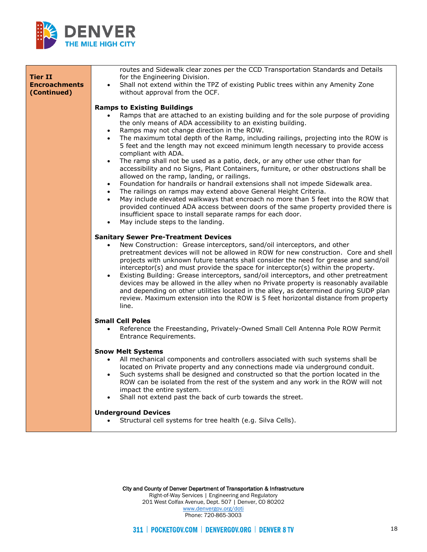

| <b>Tier II</b>                      | routes and Sidewalk clear zones per the CCD Transportation Standards and Details<br>for the Engineering Division.                                                                                                                                                                                                                                                                                                                                                                                                                                                                                                                                                                                                                               |
|-------------------------------------|-------------------------------------------------------------------------------------------------------------------------------------------------------------------------------------------------------------------------------------------------------------------------------------------------------------------------------------------------------------------------------------------------------------------------------------------------------------------------------------------------------------------------------------------------------------------------------------------------------------------------------------------------------------------------------------------------------------------------------------------------|
| <b>Encroachments</b><br>(Continued) | Shall not extend within the TPZ of existing Public trees within any Amenity Zone<br>without approval from the OCF.                                                                                                                                                                                                                                                                                                                                                                                                                                                                                                                                                                                                                              |
|                                     | <b>Ramps to Existing Buildings</b>                                                                                                                                                                                                                                                                                                                                                                                                                                                                                                                                                                                                                                                                                                              |
|                                     | Ramps that are attached to an existing building and for the sole purpose of providing<br>the only means of ADA accessibility to an existing building.<br>Ramps may not change direction in the ROW.                                                                                                                                                                                                                                                                                                                                                                                                                                                                                                                                             |
|                                     | The maximum total depth of the Ramp, including railings, projecting into the ROW is<br>5 feet and the length may not exceed minimum length necessary to provide access<br>compliant with ADA.                                                                                                                                                                                                                                                                                                                                                                                                                                                                                                                                                   |
|                                     | The ramp shall not be used as a patio, deck, or any other use other than for<br>$\bullet$<br>accessibility and no Signs, Plant Containers, furniture, or other obstructions shall be<br>allowed on the ramp, landing, or railings.                                                                                                                                                                                                                                                                                                                                                                                                                                                                                                              |
|                                     | Foundation for handrails or handrail extensions shall not impede Sidewalk area.<br>$\bullet$<br>The railings on ramps may extend above General Height Criteria.<br>$\bullet$                                                                                                                                                                                                                                                                                                                                                                                                                                                                                                                                                                    |
|                                     | May include elevated walkways that encroach no more than 5 feet into the ROW that<br>$\bullet$<br>provided continued ADA access between doors of the same property provided there is<br>insufficient space to install separate ramps for each door.<br>May include steps to the landing.<br>$\bullet$                                                                                                                                                                                                                                                                                                                                                                                                                                           |
|                                     | <b>Sanitary Sewer Pre-Treatment Devices</b>                                                                                                                                                                                                                                                                                                                                                                                                                                                                                                                                                                                                                                                                                                     |
|                                     | New Construction: Grease interceptors, sand/oil interceptors, and other<br>$\bullet$<br>pretreatment devices will not be allowed in ROW for new construction. Core and shell<br>projects with unknown future tenants shall consider the need for grease and sand/oil<br>interceptor(s) and must provide the space for interceptor(s) within the property.<br>Existing Building: Grease interceptors, sand/oil interceptors, and other pretreatment<br>$\bullet$<br>devices may be allowed in the alley when no Private property is reasonably available<br>and depending on other utilities located in the alley, as determined during SUDP plan<br>review. Maximum extension into the ROW is 5 feet horizontal distance from property<br>line. |
|                                     | <b>Small Cell Poles</b><br>Reference the Freestanding, Privately-Owned Small Cell Antenna Pole ROW Permit<br>$\bullet$<br>Entrance Requirements.                                                                                                                                                                                                                                                                                                                                                                                                                                                                                                                                                                                                |
|                                     | <b>Snow Melt Systems</b>                                                                                                                                                                                                                                                                                                                                                                                                                                                                                                                                                                                                                                                                                                                        |
|                                     | All mechanical components and controllers associated with such systems shall be<br>located on Private property and any connections made via underground conduit.<br>Such systems shall be designed and constructed so that the portion located in the<br>ROW can be isolated from the rest of the system and any work in the ROW will not<br>impact the entire system.<br>Shall not extend past the back of curb towards the street.<br>$\bullet$                                                                                                                                                                                                                                                                                               |
|                                     | <b>Underground Devices</b><br>Structural cell systems for tree health (e.g. Silva Cells).                                                                                                                                                                                                                                                                                                                                                                                                                                                                                                                                                                                                                                                       |
|                                     |                                                                                                                                                                                                                                                                                                                                                                                                                                                                                                                                                                                                                                                                                                                                                 |

City and County of Denver Department of Transportation & Infrastructure Right-of-Way Services | Engineering and Regulatory 201 West Colfax Avenue, Dept. 507 | Denver, CO 80202 [www.denvergov.org/doti](https://www.denvergov.org/content/denvergov/en/transportation-mobility.html) Phone: 720-865-3003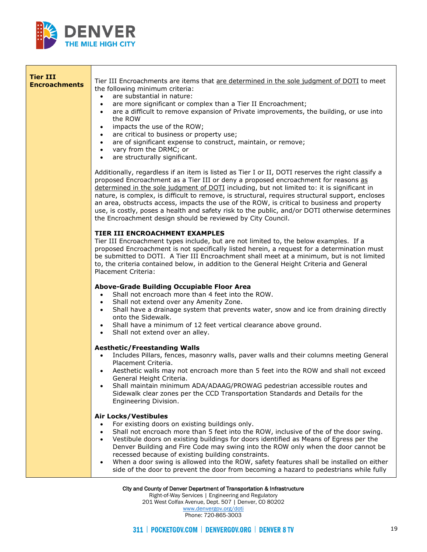

⊤

| Tier III<br><b>Encroachments</b>                                        | Tier III Encroachments are items that are determined in the sole judgment of DOTI to meet<br>the following minimum criteria:<br>are substantial in nature:<br>$\bullet$<br>are more significant or complex than a Tier II Encroachment;<br>$\bullet$<br>are a difficult to remove expansion of Private improvements, the building, or use into<br>$\bullet$<br>the ROW<br>impacts the use of the ROW;<br>$\bullet$<br>are critical to business or property use;<br>$\bullet$<br>are of significant expense to construct, maintain, or remove;<br>$\bullet$<br>vary from the DRMC; or<br>$\bullet$<br>are structurally significant.<br>$\bullet$            |
|-------------------------------------------------------------------------|------------------------------------------------------------------------------------------------------------------------------------------------------------------------------------------------------------------------------------------------------------------------------------------------------------------------------------------------------------------------------------------------------------------------------------------------------------------------------------------------------------------------------------------------------------------------------------------------------------------------------------------------------------|
|                                                                         | Additionally, regardless if an item is listed as Tier I or II, DOTI reserves the right classify a<br>proposed Encroachment as a Tier III or deny a proposed encroachment for reasons as<br>determined in the sole judgment of DOTI including, but not limited to: it is significant in<br>nature, is complex, is difficult to remove, is structural, requires structural support, encloses<br>an area, obstructs access, impacts the use of the ROW, is critical to business and property<br>use, is costly, poses a health and safety risk to the public, and/or DOTI otherwise determines<br>the Encroachment design should be reviewed by City Council. |
|                                                                         | TIER III ENCROACHMENT EXAMPLES<br>Tier III Encroachment types include, but are not limited to, the below examples. If a<br>proposed Encroachment is not specifically listed herein, a request for a determination must<br>be submitted to DOTI. A Tier III Encroachment shall meet at a minimum, but is not limited<br>to, the criteria contained below, in addition to the General Height Criteria and General<br>Placement Criteria:                                                                                                                                                                                                                     |
|                                                                         | Above-Grade Building Occupiable Floor Area<br>Shall not encroach more than 4 feet into the ROW.<br>$\bullet$<br>Shall not extend over any Amenity Zone.<br>$\bullet$<br>Shall have a drainage system that prevents water, snow and ice from draining directly<br>$\bullet$<br>onto the Sidewalk.<br>Shall have a minimum of 12 feet vertical clearance above ground.<br>Shall not extend over an alley.                                                                                                                                                                                                                                                    |
|                                                                         | <b>Aesthetic/Freestanding Walls</b><br>Includes Pillars, fences, masonry walls, paver walls and their columns meeting General<br>$\bullet$<br>Placement Criteria.<br>Aesthetic walls may not encroach more than 5 feet into the ROW and shall not exceed<br>General Height Criteria.<br>Shall maintain minimum ADA/ADAAG/PROWAG pedestrian accessible routes and<br>Sidewalk clear zones per the CCD Transportation Standards and Details for the<br>Engineering Division.                                                                                                                                                                                 |
|                                                                         | <b>Air Locks/Vestibules</b><br>For existing doors on existing buildings only.<br>$\bullet$<br>Shall not encroach more than 5 feet into the ROW, inclusive of the of the door swing.<br>$\bullet$<br>Vestibule doors on existing buildings for doors identified as Means of Egress per the<br>$\bullet$<br>Denver Building and Fire Code may swing into the ROW only when the door cannot be<br>recessed because of existing building constraints.<br>When a door swing is allowed into the ROW, safety features shall be installed on either<br>side of the door to prevent the door from becoming a hazard to pedestrians while fully                     |
| City and County of Denver Department of Transportation & Infrastructure |                                                                                                                                                                                                                                                                                                                                                                                                                                                                                                                                                                                                                                                            |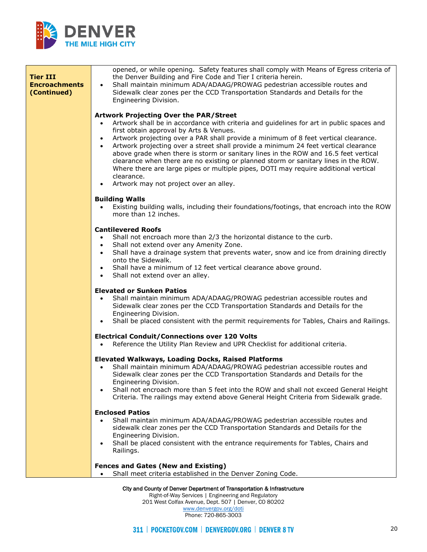

| <b>Tier III</b><br><b>Encroachments</b><br>(Continued) | opened, or while opening. Safety features shall comply with Means of Egress criteria of<br>the Denver Building and Fire Code and Tier I criteria herein.<br>Shall maintain minimum ADA/ADAAG/PROWAG pedestrian accessible routes and<br>$\bullet$<br>Sidewalk clear zones per the CCD Transportation Standards and Details for the<br>Engineering Division.                                                                                                                                                                                                                                                                                                                                                                            |
|--------------------------------------------------------|----------------------------------------------------------------------------------------------------------------------------------------------------------------------------------------------------------------------------------------------------------------------------------------------------------------------------------------------------------------------------------------------------------------------------------------------------------------------------------------------------------------------------------------------------------------------------------------------------------------------------------------------------------------------------------------------------------------------------------------|
|                                                        | <b>Artwork Projecting Over the PAR/Street</b><br>Artwork shall be in accordance with criteria and guidelines for art in public spaces and<br>first obtain approval by Arts & Venues.<br>Artwork projecting over a PAR shall provide a minimum of 8 feet vertical clearance.<br>$\bullet$<br>Artwork projecting over a street shall provide a minimum 24 feet vertical clearance<br>$\bullet$<br>above grade when there is storm or sanitary lines in the ROW and 16.5 feet vertical<br>clearance when there are no existing or planned storm or sanitary lines in the ROW.<br>Where there are large pipes or multiple pipes, DOTI may require additional vertical<br>clearance.<br>Artwork may not project over an alley.<br>$\bullet$ |
|                                                        | <b>Building Walls</b><br>Existing building walls, including their foundations/footings, that encroach into the ROW<br>more than 12 inches.                                                                                                                                                                                                                                                                                                                                                                                                                                                                                                                                                                                             |
|                                                        | <b>Cantilevered Roofs</b><br>Shall not encroach more than 2/3 the horizontal distance to the curb.<br>Shall not extend over any Amenity Zone.<br>Shall have a drainage system that prevents water, snow and ice from draining directly<br>onto the Sidewalk.<br>Shall have a minimum of 12 feet vertical clearance above ground.<br>Shall not extend over an alley.<br>$\bullet$                                                                                                                                                                                                                                                                                                                                                       |
|                                                        | <b>Elevated or Sunken Patios</b><br>Shall maintain minimum ADA/ADAAG/PROWAG pedestrian accessible routes and<br>Sidewalk clear zones per the CCD Transportation Standards and Details for the<br>Engineering Division.<br>Shall be placed consistent with the permit requirements for Tables, Chairs and Railings.<br>$\bullet$                                                                                                                                                                                                                                                                                                                                                                                                        |
|                                                        | <b>Electrical Conduit/Connections over 120 Volts</b><br>Reference the Utility Plan Review and UPR Checklist for additional criteria.<br>$\bullet$                                                                                                                                                                                                                                                                                                                                                                                                                                                                                                                                                                                      |
|                                                        | <b>Elevated Walkways, Loading Docks, Raised Platforms</b><br>Shall maintain minimum ADA/ADAAG/PROWAG pedestrian accessible routes and<br>Sidewalk clear zones per the CCD Transportation Standards and Details for the<br>Engineering Division.<br>Shall not encroach more than 5 feet into the ROW and shall not exceed General Height<br>Criteria. The railings may extend above General Height Criteria from Sidewalk grade.                                                                                                                                                                                                                                                                                                        |
|                                                        | <b>Enclosed Patios</b><br>Shall maintain minimum ADA/ADAAG/PROWAG pedestrian accessible routes and<br>sidewalk clear zones per the CCD Transportation Standards and Details for the<br>Engineering Division.<br>Shall be placed consistent with the entrance requirements for Tables, Chairs and<br>$\bullet$<br>Railings.                                                                                                                                                                                                                                                                                                                                                                                                             |
|                                                        | <b>Fences and Gates (New and Existing)</b><br>Shall meet criteria established in the Denver Zoning Code.                                                                                                                                                                                                                                                                                                                                                                                                                                                                                                                                                                                                                               |

Right-of-Way Services | Engineering and Regulatory 201 West Colfax Avenue, Dept. 507 | Denver, CO 80202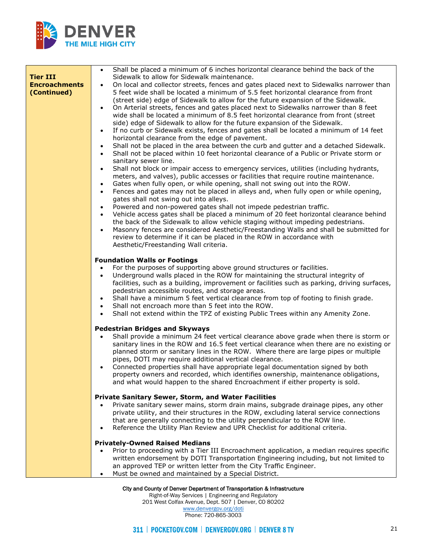

| <b>Tier III</b><br><b>Encroachments</b><br>(Continued) | Shall be placed a minimum of 6 inches horizontal clearance behind the back of the<br>Sidewalk to allow for Sidewalk maintenance.<br>On local and collector streets, fences and gates placed next to Sidewalks narrower than<br>5 feet wide shall be located a minimum of 5.5 feet horizontal clearance from front<br>(street side) edge of Sidewalk to allow for the future expansion of the Sidewalk.<br>On Arterial streets, fences and gates placed next to Sidewalks narrower than 8 feet<br>$\bullet$<br>wide shall be located a minimum of 8.5 feet horizontal clearance from front (street<br>side) edge of Sidewalk to allow for the future expansion of the Sidewalk.<br>If no curb or Sidewalk exists, fences and gates shall be located a minimum of 14 feet<br>horizontal clearance from the edge of pavement.<br>Shall not be placed in the area between the curb and gutter and a detached Sidewalk.<br>Shall not be placed within 10 feet horizontal clearance of a Public or Private storm or<br>sanitary sewer line.<br>Shall not block or impair access to emergency services, utilities (including hydrants,<br>meters, and valves), public accesses or facilities that require routine maintenance.<br>Gates when fully open, or while opening, shall not swing out into the ROW.<br>$\bullet$<br>Fences and gates may not be placed in alleys and, when fully open or while opening,<br>$\bullet$<br>gates shall not swing out into alleys.<br>Powered and non-powered gates shall not impede pedestrian traffic.<br>Vehicle access gates shall be placed a minimum of 20 feet horizontal clearance behind<br>the back of the Sidewalk to allow vehicle staging without impeding pedestrians.<br>Masonry fences are considered Aesthetic/Freestanding Walls and shall be submitted for<br>review to determine if it can be placed in the ROW in accordance with<br>Aesthetic/Freestanding Wall criteria. |
|--------------------------------------------------------|-------------------------------------------------------------------------------------------------------------------------------------------------------------------------------------------------------------------------------------------------------------------------------------------------------------------------------------------------------------------------------------------------------------------------------------------------------------------------------------------------------------------------------------------------------------------------------------------------------------------------------------------------------------------------------------------------------------------------------------------------------------------------------------------------------------------------------------------------------------------------------------------------------------------------------------------------------------------------------------------------------------------------------------------------------------------------------------------------------------------------------------------------------------------------------------------------------------------------------------------------------------------------------------------------------------------------------------------------------------------------------------------------------------------------------------------------------------------------------------------------------------------------------------------------------------------------------------------------------------------------------------------------------------------------------------------------------------------------------------------------------------------------------------------------------------------------------------------------------------------------------------------------------------------------------|
|                                                        | <b>Foundation Walls or Footings</b>                                                                                                                                                                                                                                                                                                                                                                                                                                                                                                                                                                                                                                                                                                                                                                                                                                                                                                                                                                                                                                                                                                                                                                                                                                                                                                                                                                                                                                                                                                                                                                                                                                                                                                                                                                                                                                                                                           |
|                                                        | For the purposes of supporting above ground structures or facilities.<br>Underground walls placed in the ROW for maintaining the structural integrity of<br>$\bullet$<br>facilities, such as a building, improvement or facilities such as parking, driving surfaces,<br>pedestrian accessible routes, and storage areas.<br>Shall have a minimum 5 feet vertical clearance from top of footing to finish grade.<br>Shall not encroach more than 5 feet into the ROW.<br>Shall not extend within the TPZ of existing Public Trees within any Amenity Zone.                                                                                                                                                                                                                                                                                                                                                                                                                                                                                                                                                                                                                                                                                                                                                                                                                                                                                                                                                                                                                                                                                                                                                                                                                                                                                                                                                                    |
|                                                        | <b>Pedestrian Bridges and Skyways</b>                                                                                                                                                                                                                                                                                                                                                                                                                                                                                                                                                                                                                                                                                                                                                                                                                                                                                                                                                                                                                                                                                                                                                                                                                                                                                                                                                                                                                                                                                                                                                                                                                                                                                                                                                                                                                                                                                         |
|                                                        | Shall provide a minimum 24 feet vertical clearance above grade when there is storm or<br>sanitary lines in the ROW and 16.5 feet vertical clearance when there are no existing or<br>planned storm or sanitary lines in the ROW. Where there are large pipes or multiple<br>pipes, DOTI may require additional vertical clearance.<br>Connected properties shall have appropriate legal documentation signed by both<br>property owners and recorded, which identifies ownership, maintenance obligations,<br>and what would happen to the shared Encroachment if either property is sold.                                                                                                                                                                                                                                                                                                                                                                                                                                                                                                                                                                                                                                                                                                                                                                                                                                                                                                                                                                                                                                                                                                                                                                                                                                                                                                                                    |
|                                                        | Private Sanitary Sewer, Storm, and Water Facilities                                                                                                                                                                                                                                                                                                                                                                                                                                                                                                                                                                                                                                                                                                                                                                                                                                                                                                                                                                                                                                                                                                                                                                                                                                                                                                                                                                                                                                                                                                                                                                                                                                                                                                                                                                                                                                                                           |
|                                                        | Private sanitary sewer mains, storm drain mains, subgrade drainage pipes, any other<br>private utility, and their structures in the ROW, excluding lateral service connections<br>that are generally connecting to the utility perpendicular to the ROW line.<br>Reference the Utility Plan Review and UPR Checklist for additional criteria.                                                                                                                                                                                                                                                                                                                                                                                                                                                                                                                                                                                                                                                                                                                                                                                                                                                                                                                                                                                                                                                                                                                                                                                                                                                                                                                                                                                                                                                                                                                                                                                 |
|                                                        | <b>Privately-Owned Raised Medians</b>                                                                                                                                                                                                                                                                                                                                                                                                                                                                                                                                                                                                                                                                                                                                                                                                                                                                                                                                                                                                                                                                                                                                                                                                                                                                                                                                                                                                                                                                                                                                                                                                                                                                                                                                                                                                                                                                                         |
|                                                        | Prior to proceeding with a Tier III Encroachment application, a median requires specific<br>written endorsement by DOTI Transportation Engineering including, but not limited to<br>an approved TEP or written letter from the City Traffic Engineer.<br>Must be owned and maintained by a Special District.                                                                                                                                                                                                                                                                                                                                                                                                                                                                                                                                                                                                                                                                                                                                                                                                                                                                                                                                                                                                                                                                                                                                                                                                                                                                                                                                                                                                                                                                                                                                                                                                                  |